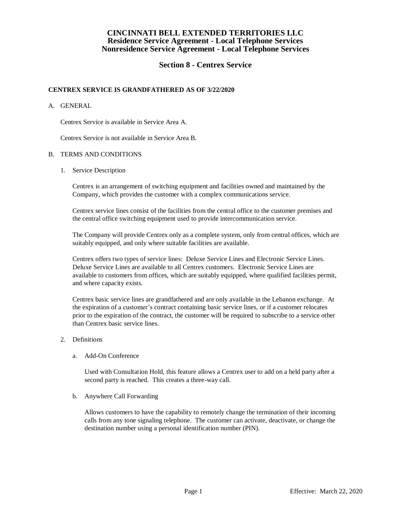## **Section 8 - Centrex Service**

#### **CENTREX SERVICE IS GRANDFATHERED AS OF 3/22/2020**

#### A. GENERAL

Centrex Service is available in Service Area A.

Centrex Service is not available in Service Area B.

#### B. TERMS AND CONDITIONS

1. Service Description

Centrex is an arrangement of switching equipment and facilities owned and maintained by the Company, which provides the customer with a complex communications service.

Centrex service lines consist of the facilities from the central office to the customer premises and the central office switching equipment used to provide intercommunication service.

The Company will provide Centrex only as a complete system, only from central offices, which are suitably equipped, and only where suitable facilities are available.

Centrex offers two types of service lines: Deluxe Service Lines and Electronic Service Lines. Deluxe Service Lines are available to all Centrex customers. Electronic Service Lines are available to customers from offices, which are suitably equipped, where qualified facilities permit, and where capacity exists.

Centrex basic service lines are grandfathered and are only available in the Lebanon exchange. At the expiration of a customer's contract containing basic service lines, or if a customer relocates prior to the expiration of the contract, the customer will be required to subscribe to a service other than Centrex basic service lines.

- 2. Definitions
	- a. Add-On Conference

Used with Consultation Hold, this feature allows a Centrex user to add on a held party after a second party is reached. This creates a three-way call.

b. Anywhere Call Forwarding

Allows customers to have the capability to remotely change the termination of their incoming calls from any tone signaling telephone. The customer can activate, deactivate, or change the destination number using a personal identification number (PIN).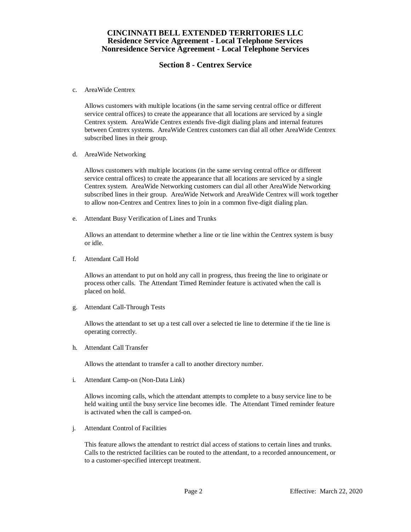## **Section 8 - Centrex Service**

c. AreaWide Centrex

Allows customers with multiple locations (in the same serving central office or different service central offices) to create the appearance that all locations are serviced by a single Centrex system. AreaWide Centrex extends five-digit dialing plans and internal features between Centrex systems. AreaWide Centrex customers can dial all other AreaWide Centrex subscribed lines in their group.

d. AreaWide Networking

Allows customers with multiple locations (in the same serving central office or different service central offices) to create the appearance that all locations are serviced by a single Centrex system. AreaWide Networking customers can dial all other AreaWide Networking subscribed lines in their group. AreaWide Network and AreaWide Centrex will work together to allow non-Centrex and Centrex lines to join in a common five-digit dialing plan.

e. Attendant Busy Verification of Lines and Trunks

Allows an attendant to determine whether a line or tie line within the Centrex system is busy or idle.

f. Attendant Call Hold

Allows an attendant to put on hold any call in progress, thus freeing the line to originate or process other calls. The Attendant Timed Reminder feature is activated when the call is placed on hold.

g. Attendant Call-Through Tests

Allows the attendant to set up a test call over a selected tie line to determine if the tie line is operating correctly.

h. Attendant Call Transfer

Allows the attendant to transfer a call to another directory number.

i. Attendant Camp-on (Non-Data Link)

Allows incoming calls, which the attendant attempts to complete to a busy service line to be held waiting until the busy service line becomes idle. The Attendant Timed reminder feature is activated when the call is camped-on.

j. Attendant Control of Facilities

This feature allows the attendant to restrict dial access of stations to certain lines and trunks. Calls to the restricted facilities can be routed to the attendant, to a recorded announcement, or to a customer-specified intercept treatment.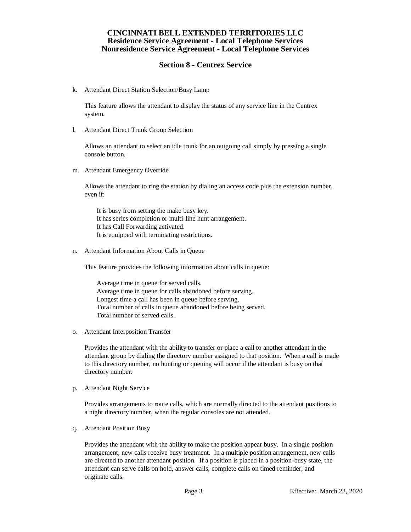## **Section 8 - Centrex Service**

k. Attendant Direct Station Selection/Busy Lamp

This feature allows the attendant to display the status of any service line in the Centrex system.

l. Attendant Direct Trunk Group Selection

Allows an attendant to select an idle trunk for an outgoing call simply by pressing a single console button.

m. Attendant Emergency Override

Allows the attendant to ring the station by dialing an access code plus the extension number, even if:

It is busy from setting the make busy key. It has series completion or multi-line hunt arrangement. It has Call Forwarding activated. It is equipped with terminating restrictions.

n. Attendant Information About Calls in Queue

This feature provides the following information about calls in queue:

Average time in queue for served calls. Average time in queue for calls abandoned before serving. Longest time a call has been in queue before serving. Total number of calls in queue abandoned before being served. Total number of served calls.

o. Attendant Interposition Transfer

Provides the attendant with the ability to transfer or place a call to another attendant in the attendant group by dialing the directory number assigned to that position. When a call is made to this directory number, no hunting or queuing will occur if the attendant is busy on that directory number.

p. Attendant Night Service

Provides arrangements to route calls, which are normally directed to the attendant positions to a night directory number, when the regular consoles are not attended.

q. Attendant Position Busy

Provides the attendant with the ability to make the position appear busy. In a single position arrangement, new calls receive busy treatment. In a multiple position arrangement, new calls are directed to another attendant position. If a position is placed in a position-busy state, the attendant can serve calls on hold, answer calls, complete calls on timed reminder, and originate calls.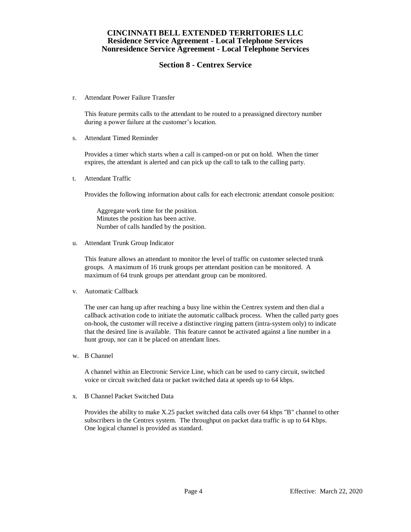## **Section 8 - Centrex Service**

r. Attendant Power Failure Transfer

This feature permits calls to the attendant to be routed to a preassigned directory number during a power failure at the customer's location.

s. Attendant Timed Reminder

Provides a timer which starts when a call is camped-on or put on hold. When the timer expires, the attendant is alerted and can pick up the call to talk to the calling party.

t. Attendant Traffic

Provides the following information about calls for each electronic attendant console position:

Aggregate work time for the position. Minutes the position has been active. Number of calls handled by the position.

u. Attendant Trunk Group Indicator

This feature allows an attendant to monitor the level of traffic on customer selected trunk groups. A maximum of 16 trunk groups per attendant position can be monitored. A maximum of 64 trunk groups per attendant group can be monitored.

v. Automatic Callback

The user can hang up after reaching a busy line within the Centrex system and then dial a callback activation code to initiate the automatic callback process. When the called party goes on-hook, the customer will receive a distinctive ringing pattern (intra-system only) to indicate that the desired line is available. This feature cannot be activated against a line number in a hunt group, nor can it be placed on attendant lines.

w. B Channel

A channel within an Electronic Service Line, which can be used to carry circuit, switched voice or circuit switched data or packet switched data at speeds up to 64 kbps.

x. B Channel Packet Switched Data

Provides the ability to make X.25 packet switched data calls over 64 kbps "B" channel to other subscribers in the Centrex system. The throughput on packet data traffic is up to 64 Kbps. One logical channel is provided as standard.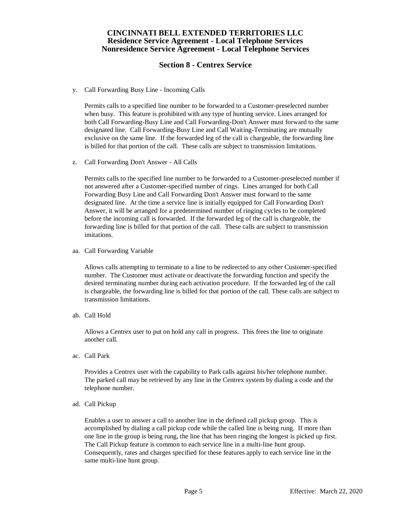## **Section 8 - Centrex Service**

y. Call Forwarding Busy Line - Incoming Calls

Permits calls to a specified line number to be forwarded to a Customer-preselected number when busy. This feature is prohibited with any type of hunting service. Lines arranged for both Call Forwarding-Busy Line and Call Forwarding-Don't Answer must forward to the same designated line. Call Forwarding-Busy Line and Call Waiting-Terminating are mutually exclusive on the same line. If the forwarded leg of the call is chargeable, the forwarding line is billed for that portion of the call. These calls are subject to transmission limitations.

z. Call Forwarding Don't Answer - All Calls

Permits calls to the specified line number to be forwarded to a Customer-preselected number if not answered after a Customer-specified number of rings. Lines arranged for both Call Forwarding Busy Line and Call Forwarding Don't Answer must forward to the same designated line. At the time a service line is initially equipped for Call Forwarding Don't Answer, it will be arranged for a predetermined number of ringing cycles to be completed before the incoming call is forwarded. If the forwarded leg of the call is chargeable, the forwarding line is billed for that portion of the call. These calls are subject to transmission imitations.

aa. Call Forwarding Variable

Allows calls attempting to terminate to a line to be redirected to any other Customer-specified number. The Customer must activate or deactivate the forwarding function and specify the desired terminating number during each activation procedure. If the forwarded leg of the call is chargeable, the forwarding line is billed for that portion of the call. These calls are subject to transmission limitations.

ab. Call Hold

Allows a Centrex user to put on hold any call in progress. This frees the line to originate another call.

ac. Call Park

Provides a Centrex user with the capability to Park calls against his/her telephone number. The parked call may be retrieved by any line in the Centrex system by dialing a code and the telephone number.

ad. Call Pickup

Enables a user to answer a call to another line in the defined call pickup group. This is accomplished by dialing a call pickup code while the called line is being rung. If more than one line in the group is being rung, the line that has been ringing the longest is picked up first. The Call Pickup feature is common to each service line in a multi-line hunt group. Consequently, rates and charges specified for these features apply to each service line in the same multi-line hunt group.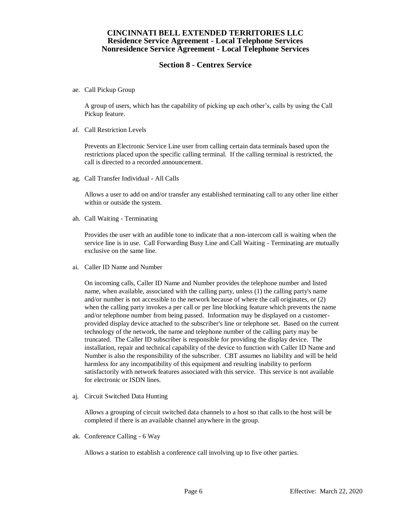# **Section 8 - Centrex Service**

ae. Call Pickup Group

A group of users, which has the capability of picking up each other's, calls by using the Call Pickup feature.

af. Call Restriction Levels

Prevents an Electronic Service Line user from calling certain data terminals based upon the restrictions placed upon the specific calling terminal. If the calling terminal is restricted, the call is directed to a recorded announcement.

ag. Call Transfer Individual - All Calls

Allows a user to add on and/or transfer any established terminating call to any other line either within or outside the system.

ah. Call Waiting - Terminating

Provides the user with an audible tone to indicate that a non-intercom call is waiting when the service line is in use. Call Forwarding Busy Line and Call Waiting - Terminating are mutually exclusive on the same line.

ai. Caller ID Name and Number

On incoming calls, Caller ID Name and Number provides the telephone number and listed name, when available, associated with the calling party, unless (1) the calling party's name and/or number is not accessible to the network because of where the call originates, or (2) when the calling party invokes a per call or per line blocking feature which prevents the name and/or telephone number from being passed. Information may be displayed on a customerprovided display device attached to the subscriber's line or telephone set. Based on the current technology of the network, the name and telephone number of the calling party may be truncated. The Caller ID subscriber is responsible for providing the display device. The installation, repair and technical capability of the device to function with Caller ID Name and Number is also the responsibility of the subscriber. CBT assumes no liability and will be held harmless for any incompatibility of this equipment and resulting inability to perform satisfactorily with network features associated with this service. This service is not available for electronic or ISDN lines.

aj. Circuit Switched Data Hunting

Allows a grouping of circuit switched data channels to a host so that calls to the host will be completed if there is an available channel anywhere in the group.

ak. Conference Calling - 6 Way

Allows a station to establish a conference call involving up to five other parties.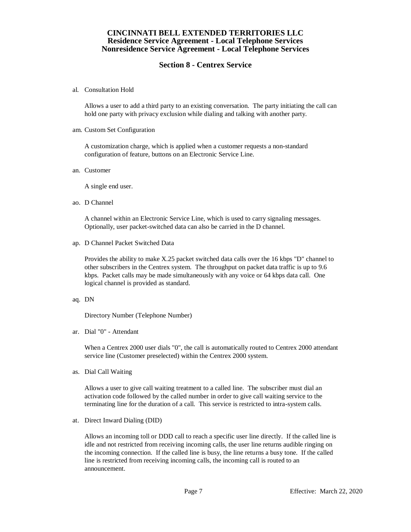## **Section 8 - Centrex Service**

al. Consultation Hold

Allows a user to add a third party to an existing conversation. The party initiating the call can hold one party with privacy exclusion while dialing and talking with another party.

am. Custom Set Configuration

A customization charge, which is applied when a customer requests a non-standard configuration of feature, buttons on an Electronic Service Line.

an. Customer

A single end user.

ao. D Channel

A channel within an Electronic Service Line, which is used to carry signaling messages. Optionally, user packet-switched data can also be carried in the D channel.

ap. D Channel Packet Switched Data

Provides the ability to make X.25 packet switched data calls over the 16 kbps "D" channel to other subscribers in the Centrex system. The throughput on packet data traffic is up to 9.6 kbps. Packet calls may be made simultaneously with any voice or 64 kbps data call. One logical channel is provided as standard.

aq. DN

Directory Number (Telephone Number)

ar. Dial "0" - Attendant

When a Centrex 2000 user dials "0", the call is automatically routed to Centrex 2000 attendant service line (Customer preselected) within the Centrex 2000 system.

as. Dial Call Waiting

Allows a user to give call waiting treatment to a called line. The subscriber must dial an activation code followed by the called number in order to give call waiting service to the terminating line for the duration of a call. This service is restricted to intra-system calls.

at. Direct Inward Dialing (DID)

Allows an incoming toll or DDD call to reach a specific user line directly. If the called line is idle and not restricted from receiving incoming calls, the user line returns audible ringing on the incoming connection. If the called line is busy, the line returns a busy tone. If the called line is restricted from receiving incoming calls, the incoming call is routed to an announcement.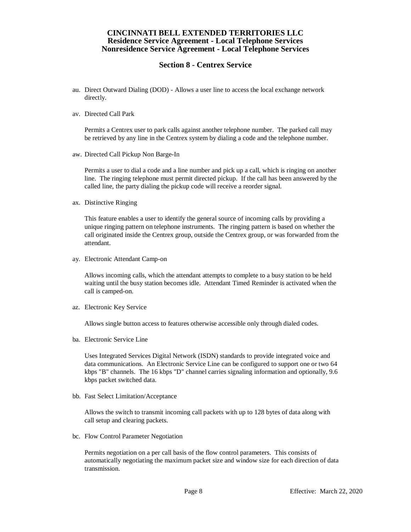## **Section 8 - Centrex Service**

- au. Direct Outward Dialing (DOD) Allows a user line to access the local exchange network directly.
- av. Directed Call Park

Permits a Centrex user to park calls against another telephone number. The parked call may be retrieved by any line in the Centrex system by dialing a code and the telephone number.

aw. Directed Call Pickup Non Barge-In

Permits a user to dial a code and a line number and pick up a call, which is ringing on another line. The ringing telephone must permit directed pickup. If the call has been answered by the called line, the party dialing the pickup code will receive a reorder signal.

ax. Distinctive Ringing

This feature enables a user to identify the general source of incoming calls by providing a unique ringing pattern on telephone instruments. The ringing pattern is based on whether the call originated inside the Centrex group, outside the Centrex group, or was forwarded from the attendant.

ay. Electronic Attendant Camp-on

Allows incoming calls, which the attendant attempts to complete to a busy station to be held waiting until the busy station becomes idle. Attendant Timed Reminder is activated when the call is camped-on.

az. Electronic Key Service

Allows single button access to features otherwise accessible only through dialed codes.

ba. Electronic Service Line

Uses Integrated Services Digital Network (ISDN) standards to provide integrated voice and data communications. An Electronic Service Line can be configured to support one or two 64 kbps "B" channels. The 16 kbps "D" channel carries signaling information and optionally, 9.6 kbps packet switched data.

bb. Fast Select Limitation/Acceptance

Allows the switch to transmit incoming call packets with up to 128 bytes of data along with call setup and clearing packets.

bc. Flow Control Parameter Negotiation

Permits negotiation on a per call basis of the flow control parameters. This consists of automatically negotiating the maximum packet size and window size for each direction of data transmission.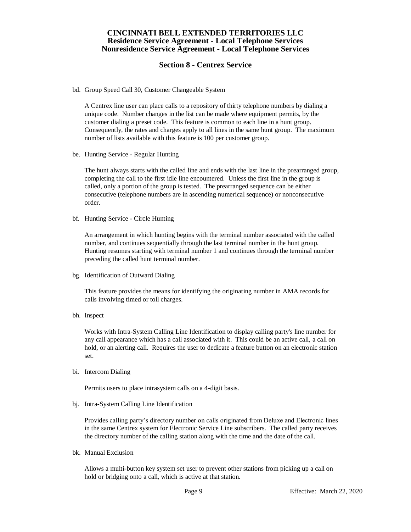## **Section 8 - Centrex Service**

bd. Group Speed Call 30, Customer Changeable System

A Centrex line user can place calls to a repository of thirty telephone numbers by dialing a unique code. Number changes in the list can be made where equipment permits, by the customer dialing a preset code. This feature is common to each line in a hunt group. Consequently, the rates and charges apply to all lines in the same hunt group. The maximum number of lists available with this feature is 100 per customer group.

be. Hunting Service - Regular Hunting

The hunt always starts with the called line and ends with the last line in the prearranged group, completing the call to the first idle line encountered. Unless the first line in the group is called, only a portion of the group is tested. The prearranged sequence can be either consecutive (telephone numbers are in ascending numerical sequence) or nonconsecutive order.

bf. Hunting Service - Circle Hunting

An arrangement in which hunting begins with the terminal number associated with the called number, and continues sequentially through the last terminal number in the hunt group. Hunting resumes starting with terminal number 1 and continues through the terminal number preceding the called hunt terminal number.

bg. Identification of Outward Dialing

This feature provides the means for identifying the originating number in AMA records for calls involving timed or toll charges.

bh. Inspect

Works with Intra-System Calling Line Identification to display calling party's line number for any call appearance which has a call associated with it. This could be an active call, a call on hold, or an alerting call. Requires the user to dedicate a feature button on an electronic station set.

bi. Intercom Dialing

Permits users to place intrasystem calls on a 4-digit basis.

bj. Intra-System Calling Line Identification

Provides calling party's directory number on calls originated from Deluxe and Electronic lines in the same Centrex system for Electronic Service Line subscribers. The called party receives the directory number of the calling station along with the time and the date of the call.

bk. Manual Exclusion

Allows a multi-button key system set user to prevent other stations from picking up a call on hold or bridging onto a call, which is active at that station.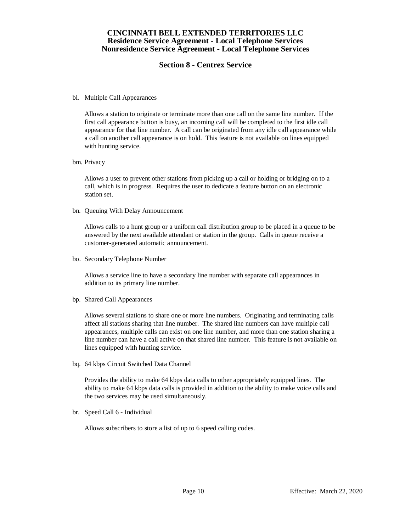## **Section 8 - Centrex Service**

#### bl. Multiple Call Appearances

Allows a station to originate or terminate more than one call on the same line number. If the first call appearance button is busy, an incoming call will be completed to the first idle call appearance for that line number. A call can be originated from any idle call appearance while a call on another call appearance is on hold. This feature is not available on lines equipped with hunting service.

#### bm. Privacy

Allows a user to prevent other stations from picking up a call or holding or bridging on to a call, which is in progress. Requires the user to dedicate a feature button on an electronic station set.

bn. Queuing With Delay Announcement

Allows calls to a hunt group or a uniform call distribution group to be placed in a queue to be answered by the next available attendant or station in the group. Calls in queue receive a customer-generated automatic announcement.

bo. Secondary Telephone Number

Allows a service line to have a secondary line number with separate call appearances in addition to its primary line number.

bp. Shared Call Appearances

Allows several stations to share one or more line numbers. Originating and terminating calls affect all stations sharing that line number. The shared line numbers can have multiple call appearances, multiple calls can exist on one line number, and more than one station sharing a line number can have a call active on that shared line number. This feature is not available on lines equipped with hunting service.

bq. 64 kbps Circuit Switched Data Channel

Provides the ability to make 64 kbps data calls to other appropriately equipped lines. The ability to make 64 kbps data calls is provided in addition to the ability to make voice calls and the two services may be used simultaneously.

br. Speed Call 6 - Individual

Allows subscribers to store a list of up to 6 speed calling codes.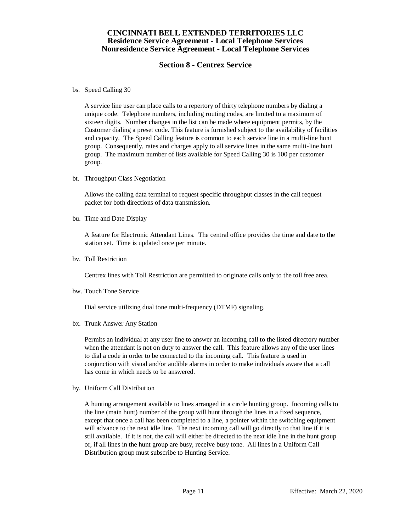# **Section 8 - Centrex Service**

bs. Speed Calling 30

A service line user can place calls to a repertory of thirty telephone numbers by dialing a unique code. Telephone numbers, including routing codes, are limited to a maximum of sixteen digits. Number changes in the list can be made where equipment permits, by the Customer dialing a preset code. This feature is furnished subject to the availability of facilities and capacity. The Speed Calling feature is common to each service line in a multi-line hunt group. Consequently, rates and charges apply to all service lines in the same multi-line hunt group. The maximum number of lists available for Speed Calling 30 is 100 per customer group.

bt. Throughput Class Negotiation

Allows the calling data terminal to request specific throughput classes in the call request packet for both directions of data transmission.

bu. Time and Date Display

A feature for Electronic Attendant Lines. The central office provides the time and date to the station set. Time is updated once per minute.

bv. Toll Restriction

Centrex lines with Toll Restriction are permitted to originate calls only to the toll free area.

bw. Touch Tone Service

Dial service utilizing dual tone multi-frequency (DTMF) signaling.

bx. Trunk Answer Any Station

Permits an individual at any user line to answer an incoming call to the listed directory number when the attendant is not on duty to answer the call. This feature allows any of the user lines to dial a code in order to be connected to the incoming call. This feature is used in conjunction with visual and/or audible alarms in order to make individuals aware that a call has come in which needs to be answered.

by. Uniform Call Distribution

A hunting arrangement available to lines arranged in a circle hunting group. Incoming calls to the line (main hunt) number of the group will hunt through the lines in a fixed sequence, except that once a call has been completed to a line, a pointer within the switching equipment will advance to the next idle line. The next incoming call will go directly to that line if it is still available. If it is not, the call will either be directed to the next idle line in the hunt group or, if all lines in the hunt group are busy, receive busy tone. All lines in a Uniform Call Distribution group must subscribe to Hunting Service.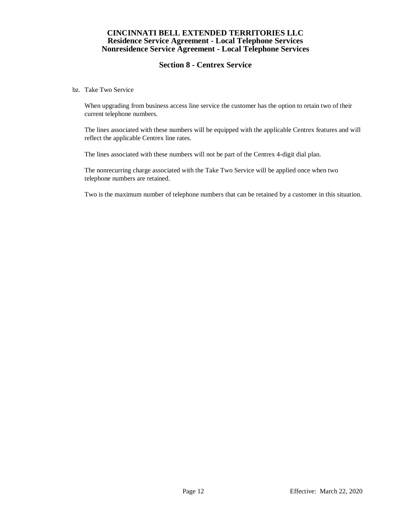# **Section 8 - Centrex Service**

bz. Take Two Service

When upgrading from business access line service the customer has the option to retain two of their current telephone numbers.

The lines associated with these numbers will be equipped with the applicable Centrex features and will reflect the applicable Centrex line rates.

The lines associated with these numbers will not be part of the Centrex 4-digit dial plan.

The nonrecurring charge associated with the Take Two Service will be applied once when two telephone numbers are retained.

Two is the maximum number of telephone numbers that can be retained by a customer in this situation.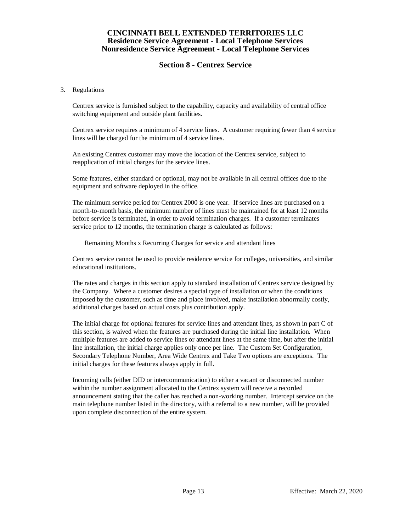# **Section 8 - Centrex Service**

#### 3. Regulations

Centrex service is furnished subject to the capability, capacity and availability of central office switching equipment and outside plant facilities.

Centrex service requires a minimum of 4 service lines. A customer requiring fewer than 4 service lines will be charged for the minimum of 4 service lines.

An existing Centrex customer may move the location of the Centrex service, subject to reapplication of initial charges for the service lines.

Some features, either standard or optional, may not be available in all central offices due to the equipment and software deployed in the office.

The minimum service period for Centrex 2000 is one year. If service lines are purchased on a month-to-month basis, the minimum number of lines must be maintained for at least 12 months before service is terminated, in order to avoid termination charges. If a customer terminates service prior to 12 months, the termination charge is calculated as follows:

Remaining Months x Recurring Charges for service and attendant lines

Centrex service cannot be used to provide residence service for colleges, universities, and similar educational institutions.

The rates and charges in this section apply to standard installation of Centrex service designed by the Company. Where a customer desires a special type of installation or when the conditions imposed by the customer, such as time and place involved, make installation abnormally costly, additional charges based on actual costs plus contribution apply.

The initial charge for optional features for service lines and attendant lines, as shown in part C of this section, is waived when the features are purchased during the initial line installation. When multiple features are added to service lines or attendant lines at the same time, but after the initial line installation, the initial charge applies only once per line. The Custom Set Configuration, Secondary Telephone Number, Area Wide Centrex and Take Two options are exceptions. The initial charges for these features always apply in full.

Incoming calls (either DID or intercommunication) to either a vacant or disconnected number within the number assignment allocated to the Centrex system will receive a recorded announcement stating that the caller has reached a non-working number. Intercept service on the main telephone number listed in the directory, with a referral to a new number, will be provided upon complete disconnection of the entire system.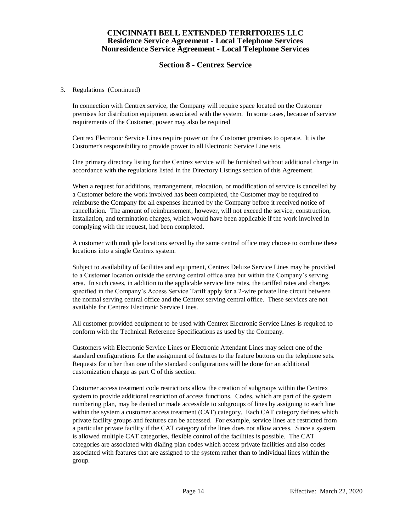## **Section 8 - Centrex Service**

#### 3. Regulations (Continued)

In connection with Centrex service, the Company will require space located on the Customer premises for distribution equipment associated with the system. In some cases, because of service requirements of the Customer, power may also be required

Centrex Electronic Service Lines require power on the Customer premises to operate. It is the Customer's responsibility to provide power to all Electronic Service Line sets.

One primary directory listing for the Centrex service will be furnished without additional charge in accordance with the regulations listed in the Directory Listings section of this Agreement.

When a request for additions, rearrangement, relocation, or modification of service is cancelled by a Customer before the work involved has been completed, the Customer may be required to reimburse the Company for all expenses incurred by the Company before it received notice of cancellation. The amount of reimbursement, however, will not exceed the service, construction, installation, and termination charges, which would have been applicable if the work involved in complying with the request, had been completed.

A customer with multiple locations served by the same central office may choose to combine these locations into a single Centrex system.

Subject to availability of facilities and equipment, Centrex Deluxe Service Lines may be provided to a Customer location outside the serving central office area but within the Company's serving area. In such cases, in addition to the applicable service line rates, the tariffed rates and charges specified in the Company's Access Service Tariff apply for a 2-wire private line circuit between the normal serving central office and the Centrex serving central office. These services are not available for Centrex Electronic Service Lines.

All customer provided equipment to be used with Centrex Electronic Service Lines is required to conform with the Technical Reference Specifications as used by the Company.

Customers with Electronic Service Lines or Electronic Attendant Lines may select one of the standard configurations for the assignment of features to the feature buttons on the telephone sets. Requests for other than one of the standard configurations will be done for an additional customization charge as part C of this section.

Customer access treatment code restrictions allow the creation of subgroups within the Centrex system to provide additional restriction of access functions. Codes, which are part of the system numbering plan, may be denied or made accessible to subgroups of lines by assigning to each line within the system a customer access treatment (CAT) category. Each CAT category defines which private facility groups and features can be accessed. For example, service lines are restricted from a particular private facility if the CAT category of the lines does not allow access. Since a system is allowed multiple CAT categories, flexible control of the facilities is possible. The CAT categories are associated with dialing plan codes which access private facilities and also codes associated with features that are assigned to the system rather than to individual lines within the group.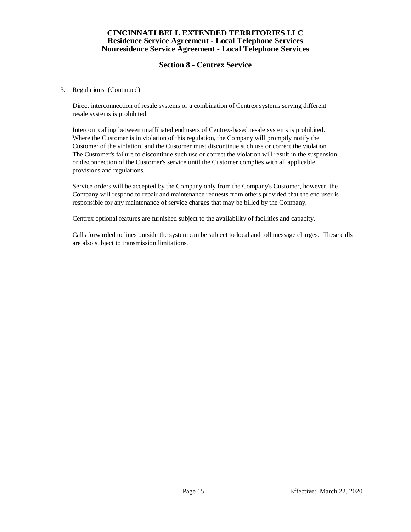# **Section 8 - Centrex Service**

#### 3. Regulations (Continued)

Direct interconnection of resale systems or a combination of Centrex systems serving different resale systems is prohibited.

Intercom calling between unaffiliated end users of Centrex-based resale systems is prohibited. Where the Customer is in violation of this regulation, the Company will promptly notify the Customer of the violation, and the Customer must discontinue such use or correct the violation. The Customer's failure to discontinue such use or correct the violation will result in the suspension or disconnection of the Customer's service until the Customer complies with all applicable provisions and regulations.

Service orders will be accepted by the Company only from the Company's Customer, however, the Company will respond to repair and maintenance requests from others provided that the end user is responsible for any maintenance of service charges that may be billed by the Company.

Centrex optional features are furnished subject to the availability of facilities and capacity.

Calls forwarded to lines outside the system can be subject to local and toll message charges. These calls are also subject to transmission limitations.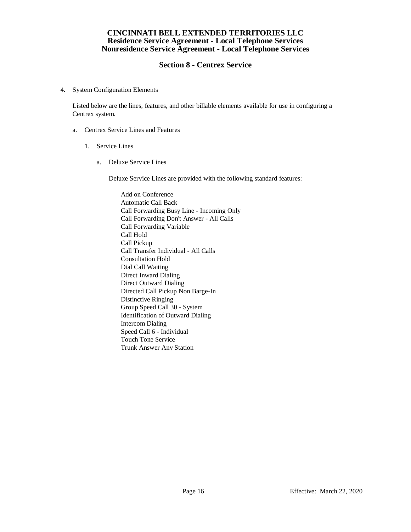# **Section 8 - Centrex Service**

4. System Configuration Elements

Listed below are the lines, features, and other billable elements available for use in configuring a Centrex system.

- a. Centrex Service Lines and Features
	- 1. Service Lines
		- a. Deluxe Service Lines

Deluxe Service Lines are provided with the following standard features:

Add on Conference Automatic Call Back Call Forwarding Busy Line - Incoming Only Call Forwarding Don't Answer - All Calls Call Forwarding Variable Call Hold Call Pickup Call Transfer Individual - All Calls Consultation Hold Dial Call Waiting Direct Inward Dialing Direct Outward Dialing Directed Call Pickup Non Barge-In Distinctive Ringing Group Speed Call 30 - System Identification of Outward Dialing Intercom Dialing Speed Call 6 - Individual Touch Tone Service Trunk Answer Any Station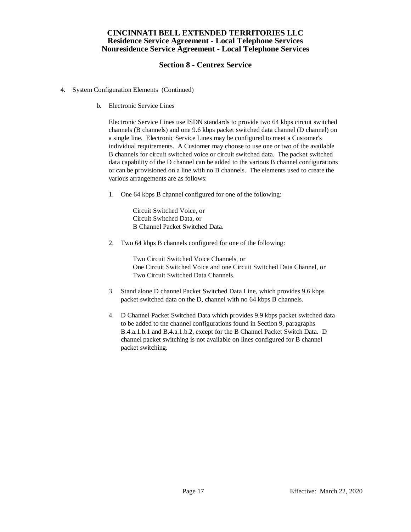# **Section 8 - Centrex Service**

- 4. System Configuration Elements (Continued)
	- b. Electronic Service Lines

Electronic Service Lines use ISDN standards to provide two 64 kbps circuit switched channels (B channels) and one 9.6 kbps packet switched data channel (D channel) on a single line. Electronic Service Lines may be configured to meet a Customer's individual requirements. A Customer may choose to use one or two of the available B channels for circuit switched voice or circuit switched data. The packet switched data capability of the D channel can be added to the various B channel configurations or can be provisioned on a line with no B channels. The elements used to create the various arrangements are as follows:

1. One 64 kbps B channel configured for one of the following:

Circuit Switched Voice, or Circuit Switched Data, or B Channel Packet Switched Data.

2. Two 64 kbps B channels configured for one of the following:

Two Circuit Switched Voice Channels, or One Circuit Switched Voice and one Circuit Switched Data Channel, or Two Circuit Switched Data Channels.

- 3 Stand alone D channel Packet Switched Data Line, which provides 9.6 kbps packet switched data on the D, channel with no 64 kbps B channels.
- 4. D Channel Packet Switched Data which provides 9.9 kbps packet switched data to be added to the channel configurations found in Section 9, paragraphs B.4.a.1.b.1 and B.4.a.1.b.2, except for the B Channel Packet Switch Data. D channel packet switching is not available on lines configured for B channel packet switching.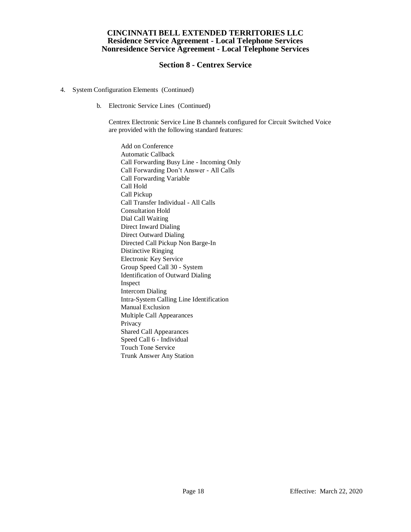# **Section 8 - Centrex Service**

- 4. System Configuration Elements (Continued)
	- b. Electronic Service Lines (Continued)

Centrex Electronic Service Line B channels configured for Circuit Switched Voice are provided with the following standard features:

Add on Conference Automatic Callback Call Forwarding Busy Line - Incoming Only Call Forwarding Don't Answer - All Calls Call Forwarding Variable Call Hold Call Pickup Call Transfer Individual - All Calls Consultation Hold Dial Call Waiting Direct Inward Dialing Direct Outward Dialing Directed Call Pickup Non Barge-In Distinctive Ringing Electronic Key Service Group Speed Call 30 - System Identification of Outward Dialing Inspect Intercom Dialing Intra-System Calling Line Identification Manual Exclusion Multiple Call Appearances Privacy Shared Call Appearances Speed Call 6 - Individual Touch Tone Service Trunk Answer Any Station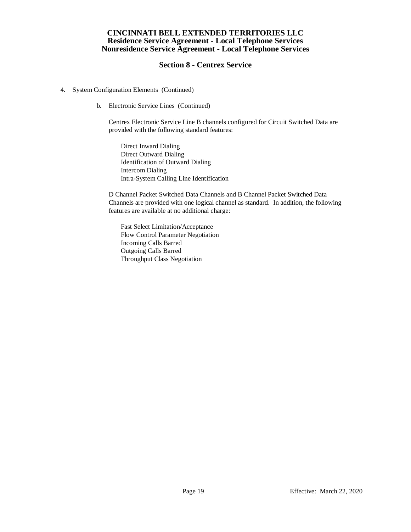# **Section 8 - Centrex Service**

- 4. System Configuration Elements (Continued)
	- b. Electronic Service Lines (Continued)

Centrex Electronic Service Line B channels configured for Circuit Switched Data are provided with the following standard features:

Direct Inward Dialing Direct Outward Dialing Identification of Outward Dialing Intercom Dialing Intra-System Calling Line Identification

D Channel Packet Switched Data Channels and B Channel Packet Switched Data Channels are provided with one logical channel as standard. In addition, the following features are available at no additional charge:

Fast Select Limitation/Acceptance Flow Control Parameter Negotiation Incoming Calls Barred Outgoing Calls Barred Throughput Class Negotiation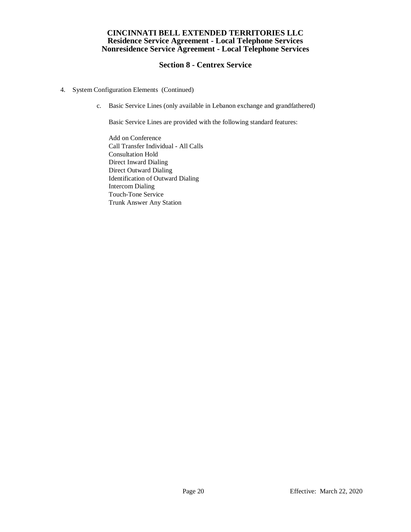# **Section 8 - Centrex Service**

- 4. System Configuration Elements (Continued)
	- c. Basic Service Lines (only available in Lebanon exchange and grandfathered)

Basic Service Lines are provided with the following standard features:

Add on Conference Call Transfer Individual - All Calls Consultation Hold Direct Inward Dialing Direct Outward Dialing Identification of Outward Dialing Intercom Dialing Touch-Tone Service Trunk Answer Any Station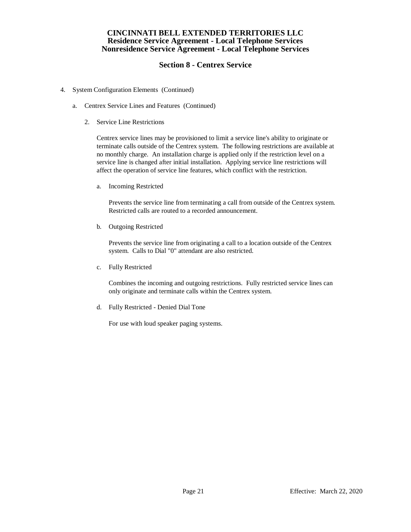# **Section 8 - Centrex Service**

- 4. System Configuration Elements (Continued)
	- a. Centrex Service Lines and Features (Continued)
		- 2. Service Line Restrictions

Centrex service lines may be provisioned to limit a service line's ability to originate or terminate calls outside of the Centrex system. The following restrictions are available at no monthly charge. An installation charge is applied only if the restriction level on a service line is changed after initial installation. Applying service line restrictions will affect the operation of service line features, which conflict with the restriction.

a. Incoming Restricted

Prevents the service line from terminating a call from outside of the Centrex system. Restricted calls are routed to a recorded announcement.

b. Outgoing Restricted

Prevents the service line from originating a call to a location outside of the Centrex system. Calls to Dial "0" attendant are also restricted.

c. Fully Restricted

Combines the incoming and outgoing restrictions. Fully restricted service lines can only originate and terminate calls within the Centrex system.

d. Fully Restricted - Denied Dial Tone

For use with loud speaker paging systems.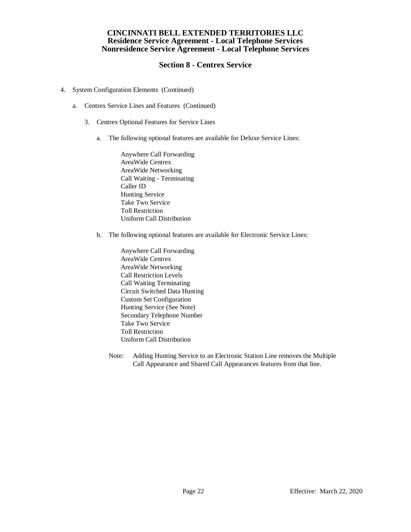# **Section 8 - Centrex Service**

- 4. System Configuration Elements (Continued)
	- a. Centrex Service Lines and Features (Continued)
		- 3. Centrex Optional Features for Service Lines
			- a. The following optional features are available for Deluxe Service Lines:

Anywhere Call Forwarding AreaWide Centrex AreaWide Networking Call Waiting - Terminating Caller ID Hunting Service Take Two Service Toll Restriction Uniform Call Distribution

b. The following optional features are available for Electronic Service Lines:

Anywhere Call Forwarding AreaWide Centrex AreaWide Networking Call Restriction Levels Call Waiting Terminating Circuit Switched Data Hunting Custom Set Configuration Hunting Service (See Note) Secondary Telephone Number Take Two Service Toll Restriction Uniform Call Distribution

Note: Adding Hunting Service to an Electronic Station Line removes the Multiple Call Appearance and Shared Call Appearances features from that line.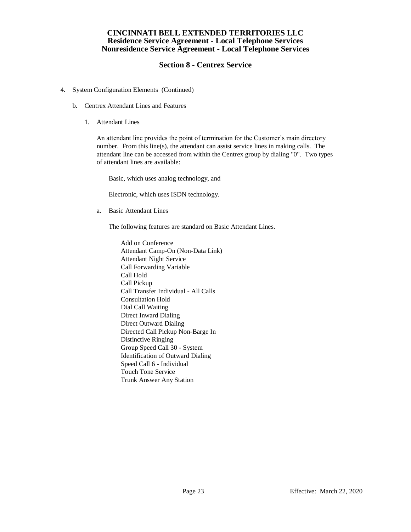# **Section 8 - Centrex Service**

- 4. System Configuration Elements (Continued)
	- b. Centrex Attendant Lines and Features
		- 1. Attendant Lines

An attendant line provides the point of termination for the Customer's main directory number. From this line(s), the attendant can assist service lines in making calls. The attendant line can be accessed from within the Centrex group by dialing "0". Two types of attendant lines are available:

Basic, which uses analog technology, and

Electronic, which uses ISDN technology.

a. Basic Attendant Lines

The following features are standard on Basic Attendant Lines.

Add on Conference Attendant Camp-On (Non-Data Link) Attendant Night Service Call Forwarding Variable Call Hold Call Pickup Call Transfer Individual - All Calls Consultation Hold Dial Call Waiting Direct Inward Dialing Direct Outward Dialing Directed Call Pickup Non-Barge In Distinctive Ringing Group Speed Call 30 - System Identification of Outward Dialing Speed Call 6 - Individual Touch Tone Service Trunk Answer Any Station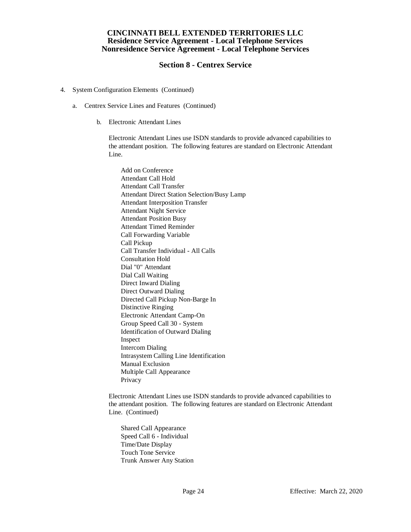## **Section 8 - Centrex Service**

- 4. System Configuration Elements (Continued)
	- a. Centrex Service Lines and Features (Continued)
		- b. Electronic Attendant Lines

Electronic Attendant Lines use ISDN standards to provide advanced capabilities to the attendant position. The following features are standard on Electronic Attendant Line.

Add on Conference Attendant Call Hold Attendant Call Transfer Attendant Direct Station Selection/Busy Lamp Attendant Interposition Transfer Attendant Night Service Attendant Position Busy Attendant Timed Reminder Call Forwarding Variable Call Pickup Call Transfer Individual - All Calls Consultation Hold Dial "0" Attendant Dial Call Waiting Direct Inward Dialing Direct Outward Dialing Directed Call Pickup Non-Barge In Distinctive Ringing Electronic Attendant Camp-On Group Speed Call 30 - System Identification of Outward Dialing Inspect Intercom Dialing Intrasystem Calling Line Identification Manual Exclusion Multiple Call Appearance Privacy

Electronic Attendant Lines use ISDN standards to provide advanced capabilities to the attendant position. The following features are standard on Electronic Attendant Line. (Continued)

Shared Call Appearance Speed Call 6 - Individual Time/Date Display Touch Tone Service Trunk Answer Any Station